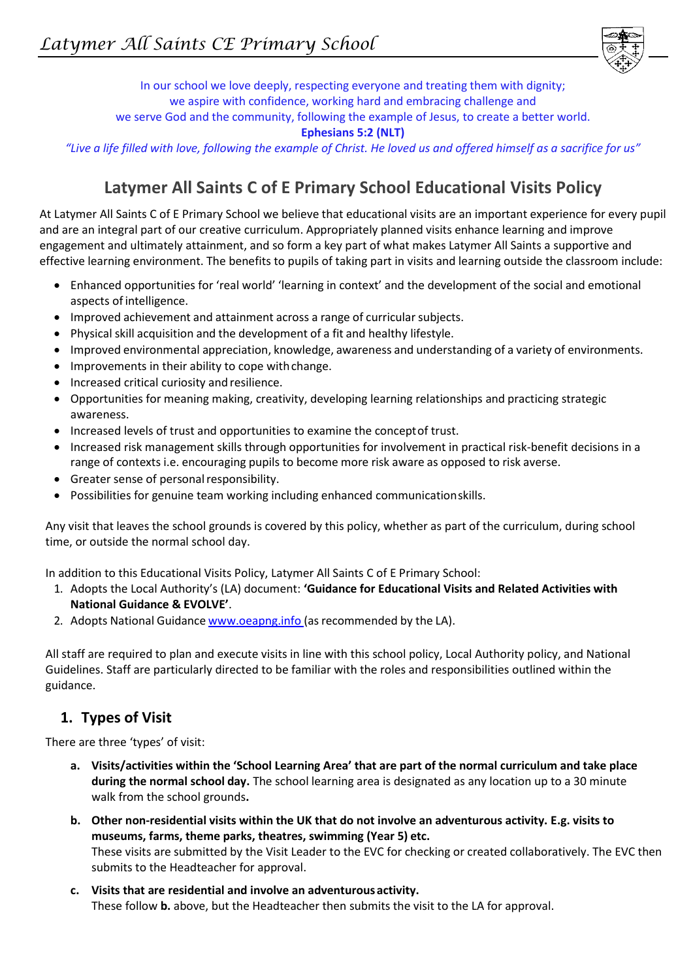

In our school we love deeply, respecting everyone and treating them with dignity; we aspire with confidence, working hard and embracing challenge and we serve God and the community, following the example of Jesus, to create a better world. **Ephesians 5:2 (NLT)**

*"Live a life filled with love, following the example of Christ. He loved us and offered himself as a sacrifice for us"*

# **Latymer All Saints C of E Primary School Educational Visits Policy**

At Latymer All Saints C of E Primary School we believe that educational visits are an important experience for every pupil and are an integral part of our creative curriculum. Appropriately planned visits enhance learning and improve engagement and ultimately attainment, and so form a key part of what makes Latymer All Saints a supportive and effective learning environment. The benefits to pupils of taking part in visits and learning outside the classroom include:

- Enhanced opportunities for 'real world' 'learning in context' and the development of the social and emotional aspects of intelligence.
- Improved achievement and attainment across a range of curricular subjects.
- Physical skill acquisition and the development of a fit and healthy lifestyle.
- Improved environmental appreciation, knowledge, awareness and understanding of a variety of environments.
- Improvements in their ability to cope with change.
- Increased critical curiosity and resilience.
- Opportunities for meaning making, creativity, developing learning relationships and practicing strategic awareness.
- Increased levels of trust and opportunities to examine the concept of trust.
- Increased risk management skills through opportunities for involvement in practical risk-benefit decisions in a range of contexts i.e. encouraging pupils to become more risk aware as opposed to risk averse.
- Greater sense of personal responsibility.
- Possibilities for genuine team working including enhanced communicationskills.

Any visit that leaves the school grounds is covered by this policy, whether as part of the curriculum, during school time, or outside the normal school day.

In addition to this Educational Visits Policy, Latymer All Saints C of E Primary School:

- 1. Adopts the Local Authority's (LA) document: **'Guidance for Educational Visits and Related Activities with National Guidance & EVOLVE'**.
- 2. Adopts National Guidance [www.oeapng.info](http://www.oeapng.info/) (as recommended by the LA).

All staff are required to plan and execute visits in line with this school policy, Local Authority policy, and National Guidelines. Staff are particularly directed to be familiar with the roles and responsibilities outlined within the guidance.

### **1. Types of Visit**

There are three 'types' of visit:

- **a. Visits/activities within the 'School Learning Area' that are part of the normal curriculum and take place during the normal school day.** The school learning area is designated as any location up to a 30 minute walk from the school grounds**.**
- **b. Other non-residential visits within the UK that do not involve an adventurous activity. E.g. visits to museums, farms, theme parks, theatres, swimming (Year 5) etc.** These visits are submitted by the Visit Leader to the EVC for checking or created collaboratively. The EVC then submits to the Headteacher for approval.
- **c. Visits that are residential and involve an adventurous activity.** These follow **b.** above, but the Headteacher then submits the visit to the LA for approval.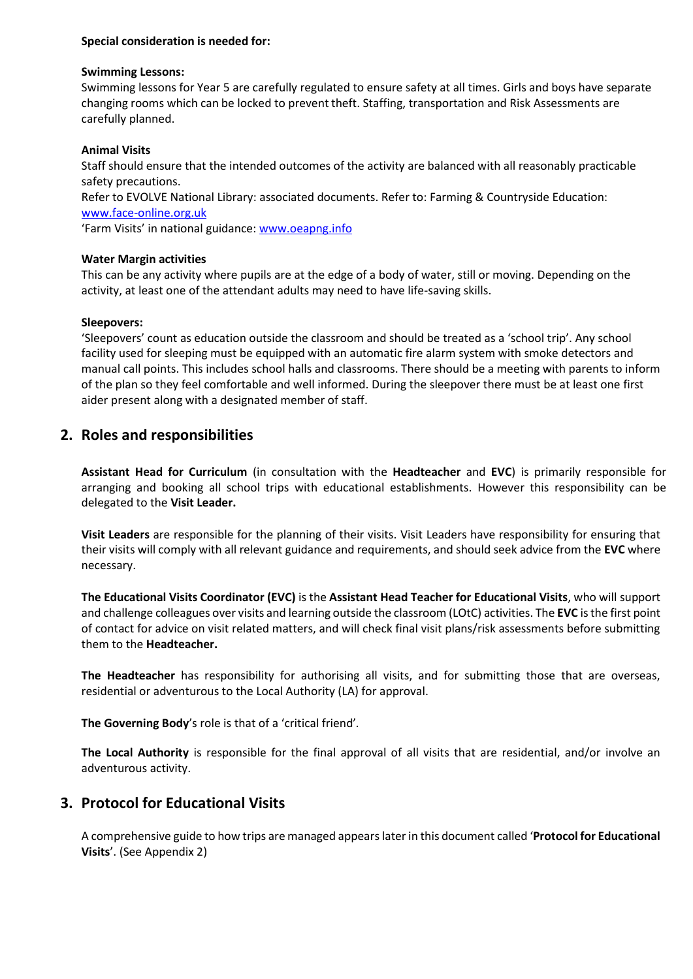### **Special consideration is needed for:**

#### **Swimming Lessons:**

Swimming lessons for Year 5 are carefully regulated to ensure safety at all times. Girls and boys have separate changing rooms which can be locked to prevent theft. Staffing, transportation and Risk Assessments are carefully planned.

### **Animal Visits**

Staff should ensure that the intended outcomes of the activity are balanced with all reasonably practicable safety precautions.

Refer to EVOLVE National Library: associated documents. Refer to: Farming & Countryside Education: [www.face-online.org.uk](http://www.face-online.org.uk/)

'Farm Visits' in national guidance: [www.oeapng.info](http://www.oeapng.info/)

### **Water Margin activities**

This can be any activity where pupils are at the edge of a body of water, still or moving. Depending on the activity, at least one of the attendant adults may need to have life-saving skills.

#### **Sleepovers:**

'Sleepovers' count as education outside the classroom and should be treated as a 'school trip'. Any school facility used for sleeping must be equipped with an automatic fire alarm system with smoke detectors and manual call points. This includes school halls and classrooms. There should be a meeting with parents to inform of the plan so they feel comfortable and well informed. During the sleepover there must be at least one first aider present along with a designated member of staff.

### **2. Roles and responsibilities**

**Assistant Head for Curriculum** (in consultation with the **Headteacher** and **EVC**) is primarily responsible for arranging and booking all school trips with educational establishments. However this responsibility can be delegated to the **Visit Leader.**

**Visit Leaders** are responsible for the planning of their visits. Visit Leaders have responsibility for ensuring that their visits will comply with all relevant guidance and requirements, and should seek advice from the **EVC** where necessary.

**The Educational Visits Coordinator (EVC)** is the **Assistant Head Teacher for Educational Visits**, who will support and challenge colleagues over visits and learning outside the classroom (LOtC) activities. The **EVC** is the first point of contact for advice on visit related matters, and will check final visit plans/risk assessments before submitting them to the **Headteacher.**

**The Headteacher** has responsibility for authorising all visits, and for submitting those that are overseas, residential or adventurous to the Local Authority (LA) for approval.

**The Governing Body**'s role is that of a 'critical friend'*.*

**The Local Authority** is responsible for the final approval of all visits that are residential, and/or involve an adventurous activity.

### **3. Protocol for Educational Visits**

A comprehensive guide to how trips are managed appears later in this document called '**Protocol for Educational Visits**'. (See Appendix 2)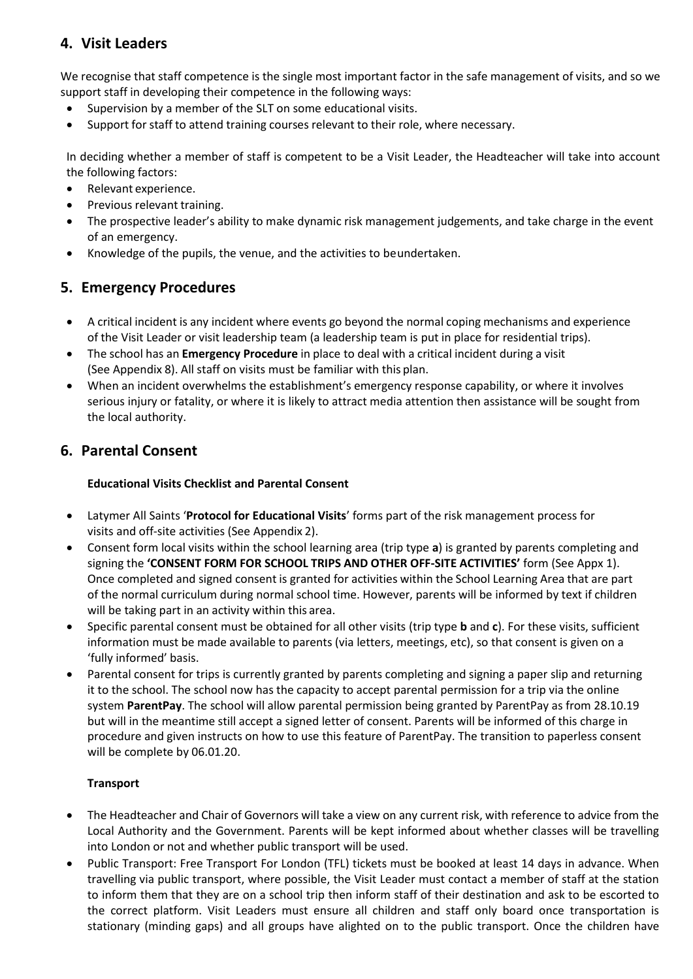### **4. Visit Leaders**

We recognise that staff competence is the single most important factor in the safe management of visits, and so we support staff in developing their competence in the following ways:

- Supervision by a member of the SLT on some educational visits.
- Support for staff to attend training courses relevant to their role, where necessary.

In deciding whether a member of staff is competent to be a Visit Leader, the Headteacher will take into account the following factors:

- Relevant experience.
- Previous relevant training.
- The prospective leader's ability to make dynamic risk management judgements, and take charge in the event of an emergency.
- Knowledge of the pupils, the venue, and the activities to beundertaken.

### **5. Emergency Procedures**

- A critical incident is any incident where events go beyond the normal coping mechanisms and experience of the Visit Leader or visit leadership team (a leadership team is put in place for residential trips).
- The school has an **Emergency Procedure** in place to deal with a critical incident during a visit (See Appendix 8). All staff on visits must be familiar with this plan.
- When an incident overwhelms the establishment's emergency response capability, or where it involves serious injury or fatality, or where it is likely to attract media attention then assistance will be sought from the local authority.

### **6. Parental Consent**

### **Educational Visits Checklist and Parental Consent**

- Latymer All Saints '**Protocol for Educational Visits**' forms part of the risk management process for visits and off-site activities (See Appendix 2).
- Consent form local visits within the school learning area (trip type **a**) is granted by parents completing and signing the **'CONSENT FORM FOR SCHOOL TRIPS AND OTHER OFF-SITE ACTIVITIES'** form (See Appx 1). Once completed and signed consent is granted for activities within the School Learning Area that are part of the normal curriculum during normal school time. However, parents will be informed by text if children will be taking part in an activity within this area.
- Specific parental consent must be obtained for all other visits (trip type **b** and **c**). For these visits, sufficient information must be made available to parents (via letters, meetings, etc), so that consent is given on a 'fully informed' basis.
- Parental consent for trips is currently granted by parents completing and signing a paper slip and returning it to the school. The school now has the capacity to accept parental permission for a trip via the online system **ParentPay**. The school will allow parental permission being granted by ParentPay as from 28.10.19 but will in the meantime still accept a signed letter of consent. Parents will be informed of this charge in procedure and given instructs on how to use this feature of ParentPay. The transition to paperless consent will be complete by 06.01.20.

### **Transport**

- The Headteacher and Chair of Governors will take a view on any current risk, with reference to advice from the Local Authority and the Government. Parents will be kept informed about whether classes will be travelling into London or not and whether public transport will be used.
- Public Transport: Free Transport For London (TFL) tickets must be booked at least 14 days in advance. When travelling via public transport, where possible, the Visit Leader must contact a member of staff at the station to inform them that they are on a school trip then inform staff of their destination and ask to be escorted to the correct platform. Visit Leaders must ensure all children and staff only board once transportation is stationary (minding gaps) and all groups have alighted on to the public transport. Once the children have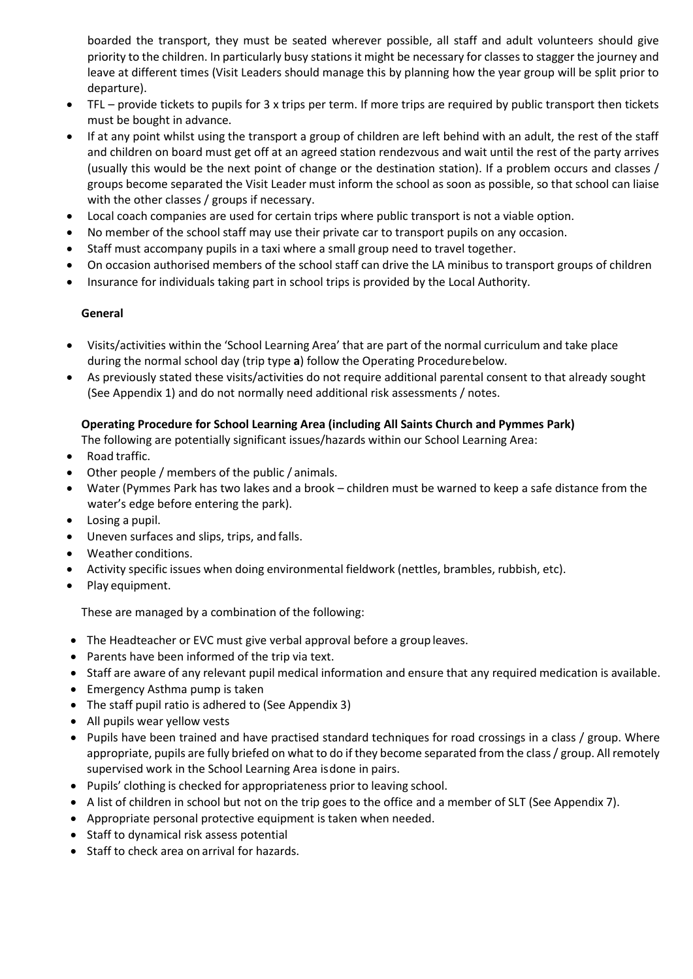boarded the transport, they must be seated wherever possible, all staff and adult volunteers should give priority to the children. In particularly busy stations it might be necessary for classes to stagger the journey and leave at different times (Visit Leaders should manage this by planning how the year group will be split prior to departure).

- TFL provide tickets to pupils for 3 x trips per term. If more trips are required by public transport then tickets must be bought in advance.
- If at any point whilst using the transport a group of children are left behind with an adult, the rest of the staff and children on board must get off at an agreed station rendezvous and wait until the rest of the party arrives (usually this would be the next point of change or the destination station). If a problem occurs and classes / groups become separated the Visit Leader must inform the school as soon as possible, so that school can liaise with the other classes / groups if necessary.
- Local coach companies are used for certain trips where public transport is not a viable option.
- No member of the school staff may use their private car to transport pupils on any occasion.
- Staff must accompany pupils in a taxi where a small group need to travel together.
- On occasion authorised members of the school staff can drive the LA minibus to transport groups of children
- Insurance for individuals taking part in school trips is provided by the Local Authority.

### **General**

- Visits/activities within the 'School Learning Area' that are part of the normal curriculum and take place during the normal school day (trip type **a**) follow the Operating Procedurebelow.
- As previously stated these visits/activities do not require additional parental consent to that already sought (See Appendix 1) and do not normally need additional risk assessments / notes.

### **Operating Procedure for School Learning Area (including All Saints Church and Pymmes Park)**

The following are potentially significant issues/hazards within our School Learning Area:

- Road traffic.
- Other people / members of the public / animals.
- Water (Pymmes Park has two lakes and a brook children must be warned to keep a safe distance from the water's edge before entering the park).
- Losing a pupil.
- Uneven surfaces and slips, trips, and falls.
- Weather conditions.
- Activity specific issues when doing environmental fieldwork (nettles, brambles, rubbish, etc).
- Play equipment.

These are managed by a combination of the following:

- The Headteacher or EVC must give verbal approval before a group leaves.
- Parents have been informed of the trip via text.
- Staff are aware of any relevant pupil medical information and ensure that any required medication is available.
- Emergency Asthma pump is taken
- The staff pupil ratio is adhered to (See Appendix 3)
- All pupils wear yellow vests
- Pupils have been trained and have practised standard techniques for road crossings in a class / group. Where appropriate, pupils are fully briefed on what to do if they become separated from the class / group. All remotely supervised work in the School Learning Area isdone in pairs.
- Pupils' clothing is checked for appropriateness prior to leaving school.
- A list of children in school but not on the trip goes to the office and a member of SLT (See Appendix 7).
- Appropriate personal protective equipment is taken when needed.
- Staff to dynamical risk assess potential
- Staff to check area on arrival for hazards.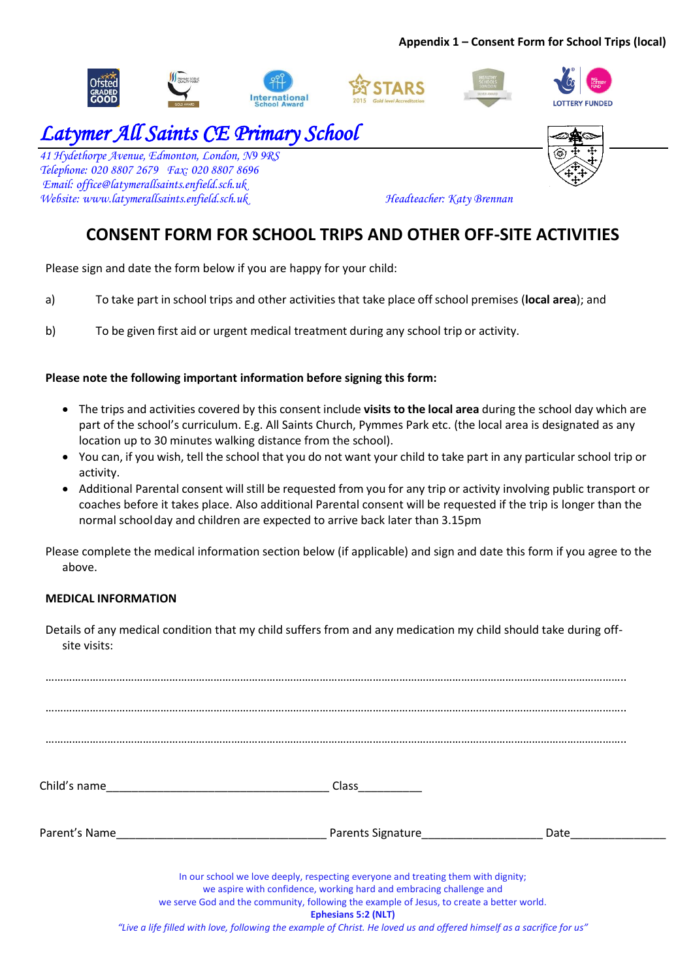### **Appendix 1 – Consent Form for School Trips (local)**









# *Latymer All Saints CE Primary School*

*41 Hydethorpe Avenue, Edmonton, London, N9 9RS Telephone: 020 8807 2679 Fax: 020 8807 8696 Email: [office@latymerallsaints.enfield.sch.uk](mailto:office@latymerallsaints.enfield.sch.uk)  Website: www.latymerallsaints.enfield.sch.uk Headteacher: Katy Brennan*



# **CONSENT FORM FOR SCHOOL TRIPS AND OTHER OFF-SITE ACTIVITIES**

Please sign and date the form below if you are happy for your child:

- a) To take part in school trips and other activities that take place offschool premises (**local area**); and
- b) To be given first aid or urgent medical treatment during any school trip or activity.

### **Please note the following important information before signing this form:**

- The trips and activities covered by this consent include **visits to the local area** during the school day which are part of the school's curriculum. E.g. All Saints Church, Pymmes Park etc. (the local area is designated as any location up to 30 minutes walking distance from the school).
- You can, if you wish, tell the school that you do not want your child to take part in any particular school trip or activity.
- Additional Parental consent will still be requested from you for any trip or activity involving public transport or coaches before it takes place. Also additional Parental consent will be requested if the trip is longer than the normal schoolday and children are expected to arrive back later than 3.15pm

Please complete the medical information section below (if applicable) and sign and date this form if you agree to the above.

### **MEDICAL INFORMATION**

Details of any medical condition that my child suffers from and any medication my child should take during offsite visits:

| Child's name                                                                                                                                                                                                                                                                        | Class                    |      |  |
|-------------------------------------------------------------------------------------------------------------------------------------------------------------------------------------------------------------------------------------------------------------------------------------|--------------------------|------|--|
| Parent's Name                                                                                                                                                                                                                                                                       | <b>Parents Signature</b> | Date |  |
| In our school we love deeply, respecting everyone and treating them with dignity;<br>we aspire with confidence, working hard and embracing challenge and<br>we serve God and the community, following the example of Jesus, to create a better world.<br><b>Ephesians 5:2 (NLT)</b> |                          |      |  |

*"Live a life filled with love, following the example of Christ. He loved us and offered himself as a sacrifice for us"*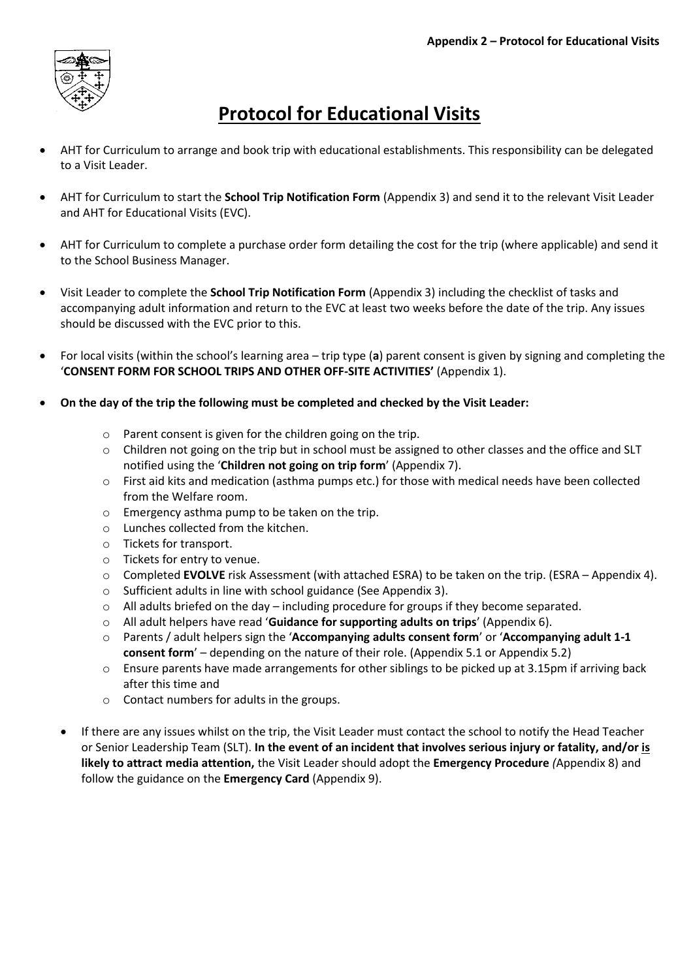

# **Protocol for Educational Visits**

- AHT for Curriculum to arrange and book trip with educational establishments. This responsibility can be delegated to a Visit Leader.
- AHT for Curriculum to start the **School Trip Notification Form** (Appendix 3) and send it to the relevant Visit Leader and AHT for Educational Visits (EVC).
- AHT for Curriculum to complete a purchase order form detailing the cost for the trip (where applicable) and send it to the School Business Manager.
- Visit Leader to complete the **School Trip Notification Form** (Appendix 3) including the checklist of tasks and accompanying adult information and return to the EVC at least two weeks before the date of the trip. Any issues should be discussed with the EVC prior to this.
- For local visits (within the school's learning area trip type (**a**) parent consent is given by signing and completing the '**CONSENT FORM FOR SCHOOL TRIPS AND OTHER OFF-SITE ACTIVITIES'** (Appendix 1).
- **On the day of the trip the following must be completed and checked by the Visit Leader:**
	- o Parent consent is given for the children going on the trip.
	- o Children not going on the trip but in school must be assigned to other classes and the office and SLT notified using the '**Children not going on trip form**' (Appendix 7).
	- o First aid kits and medication (asthma pumps etc.) for those with medical needs have been collected from the Welfare room.
	- o Emergency asthma pump to be taken on the trip.
	- o Lunches collected from the kitchen.
	- o Tickets for transport.
	- o Tickets for entry to venue.
	- o Completed **EVOLVE** risk Assessment (with attached ESRA) to be taken on the trip. (ESRA Appendix 4).
	- o Sufficient adults in line with school guidance (See Appendix 3).
	- $\circ$  All adults briefed on the day including procedure for groups if they become separated.
	- o All adult helpers have read '**Guidance for supporting adults on trips**' (Appendix 6).
	- o Parents / adult helpers sign the '**Accompanying adults consent form**' or '**Accompanying adult 1-1 consent form**' – depending on the nature of their role. (Appendix 5.1 or Appendix 5.2)
	- o Ensure parents have made arrangements for other siblings to be picked up at 3.15pm if arriving back after this time and
	- o Contact numbers for adults in the groups.
	- If there are any issues whilst on the trip, the Visit Leader must contact the school to notify the Head Teacher or Senior Leadership Team (SLT). **In the event of an incident that involves serious injury or fatality, and/or is likely to attract media attention,** the Visit Leader should adopt the **Emergency Procedure** *(*Appendix 8) and follow the guidance on the **Emergency Card** (Appendix 9).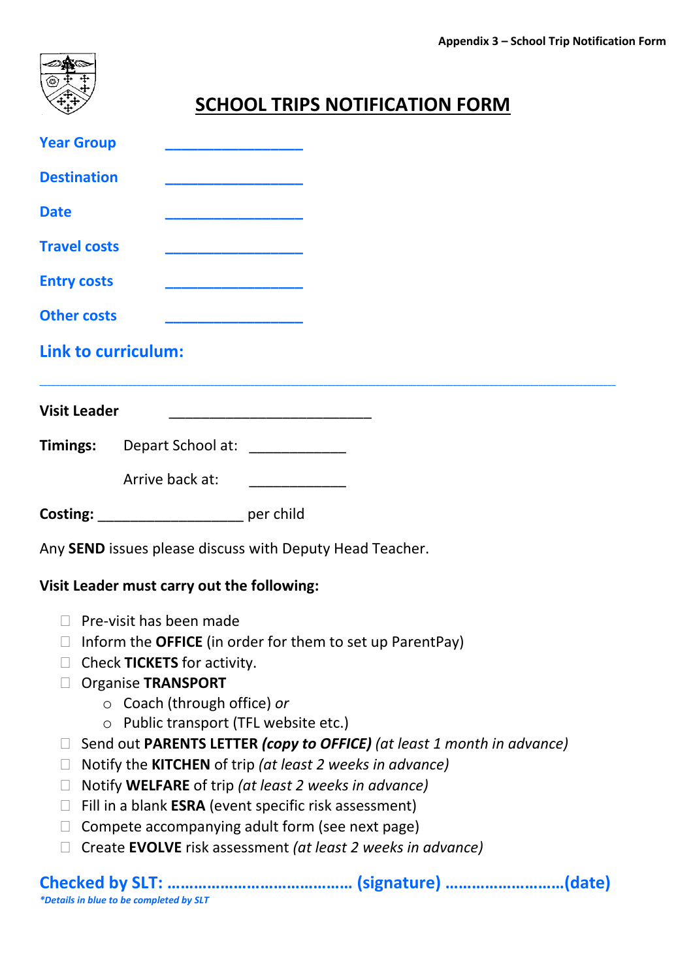

# **SCHOOL TRIPS NOTIFICATION FORM**

| <b>Year Group</b>                                         |                                                                                                                                                                                                                                      |  |
|-----------------------------------------------------------|--------------------------------------------------------------------------------------------------------------------------------------------------------------------------------------------------------------------------------------|--|
| <b>Destination</b>                                        | <u> 1989 - Johann John Harry John Harry John Harry John Harry John Harry John Harry John Harry John Harry John Harry John Harry John Harry John Harry John Harry John Harry John Harry John Harry John Harry John Harry John Har</u> |  |
| <b>Date</b>                                               |                                                                                                                                                                                                                                      |  |
| <b>Travel costs</b>                                       |                                                                                                                                                                                                                                      |  |
| <b>Entry costs</b>                                        |                                                                                                                                                                                                                                      |  |
| <b>Other costs</b>                                        |                                                                                                                                                                                                                                      |  |
| <b>Link to curriculum:</b>                                |                                                                                                                                                                                                                                      |  |
| <b>Visit Leader</b>                                       |                                                                                                                                                                                                                                      |  |
|                                                           | Timings: Depart School at: ____________                                                                                                                                                                                              |  |
|                                                           | Arrive back at:<br><u> 1990 - Johann Barn, mars ar breith</u>                                                                                                                                                                        |  |
|                                                           |                                                                                                                                                                                                                                      |  |
|                                                           | Costing: per child                                                                                                                                                                                                                   |  |
|                                                           | Any SEND issues please discuss with Deputy Head Teacher.                                                                                                                                                                             |  |
|                                                           | Visit Leader must carry out the following:                                                                                                                                                                                           |  |
| Pre-visit has been made<br>$\Box$                         |                                                                                                                                                                                                                                      |  |
| $\Box$                                                    | Inform the <b>OFFICE</b> (in order for them to set up ParentPay)                                                                                                                                                                     |  |
|                                                           | Check TICKETS for activity.                                                                                                                                                                                                          |  |
| <b>Organise TRANSPORT</b>                                 |                                                                                                                                                                                                                                      |  |
|                                                           | $\circ$ Coach (through office) or                                                                                                                                                                                                    |  |
|                                                           | Public transport (TFL website etc.)                                                                                                                                                                                                  |  |
|                                                           | Send out PARENTS LETTER (copy to OFFICE) (at least 1 month in advance)                                                                                                                                                               |  |
| $\Box$                                                    | Notify the KITCHEN of trip (at least 2 weeks in advance)                                                                                                                                                                             |  |
| Notify WELFARE of trip (at least 2 weeks in advance)<br>П |                                                                                                                                                                                                                                      |  |
| $\Box$                                                    | Fill in a blank ESRA (event specific risk assessment)                                                                                                                                                                                |  |
| П                                                         | Compete accompanying adult form (see next page)                                                                                                                                                                                      |  |
| $\Box$                                                    | Create EVOLVE risk assessment (at least 2 weeks in advance)                                                                                                                                                                          |  |
| *Details in blue to be completed by SLT                   |                                                                                                                                                                                                                                      |  |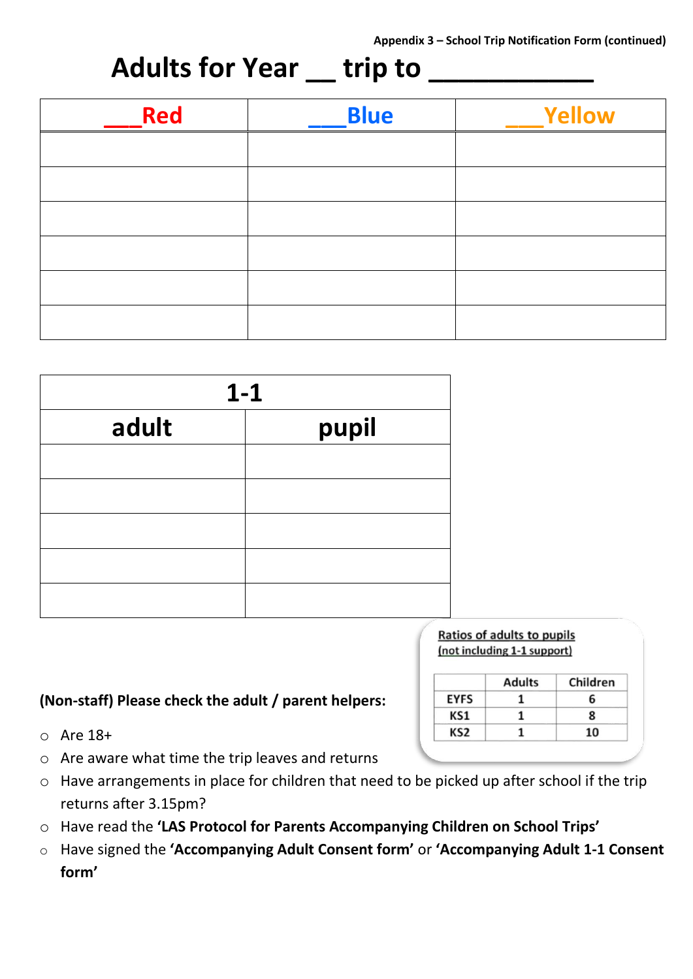# **Adults for Year \_\_ trip to \_\_\_\_\_\_\_\_\_\_\_**

| Red | <b>Blue</b> | <b>Yellow</b> |
|-----|-------------|---------------|
|     |             |               |
|     |             |               |
|     |             |               |
|     |             |               |
|     |             |               |
|     |             |               |

| $1 - 1$ |       |  |
|---------|-------|--|
| adult   | pupil |  |
|         |       |  |
|         |       |  |
|         |       |  |
|         |       |  |
|         |       |  |

# Ratios of adults to pupils

### **(Non-staff) Please check the adult / parent helpers:**

- o Are 18+
- o Are aware what time the trip leaves and returns
- o Have arrangements in place for children that need to be picked up after school if the trip returns after 3.15pm?
- o Have read the **'LAS Protocol for Parents Accompanying Children on School Trips'**
- o Have signed the **'Accompanying Adult Consent form'** or **'Accompanying Adult 1-1 Consent form'**

# (not including 1-1 support)

|             | <b>Adults</b> | Children |
|-------------|---------------|----------|
| <b>EYFS</b> |               |          |
| KS1         |               | x        |
| KS2         |               | 10       |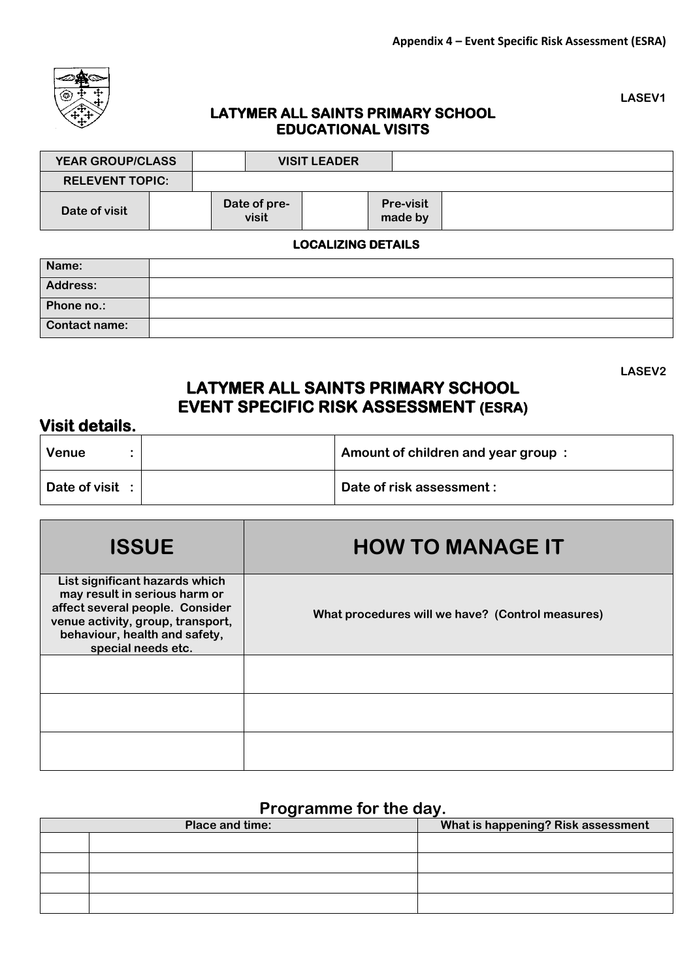

# **LASEV1**

**LASEV2**

### **LATYMER ALL SAINTS PRIMARY SCHOOL EDUCATIONAL VISITS**

| <b>YEAR GROUP/CLASS</b>   |  |                       | <b>VISIT LEADER</b> |                             |  |
|---------------------------|--|-----------------------|---------------------|-----------------------------|--|
| <b>RELEVENT TOPIC:</b>    |  |                       |                     |                             |  |
| Date of visit             |  | Date of pre-<br>visit |                     | <b>Pre-visit</b><br>made by |  |
| <b>LOCALIZING DETAILS</b> |  |                       |                     |                             |  |

| Name:           |  |
|-----------------|--|
| <b>Address:</b> |  |
| Phone no.:      |  |
| Contact name:   |  |

## **LATYMER ALL SAINTS PRIMARY SCHOOL EVENT SPECIFIC RISK ASSESSMENT (ESRA)**

### **Visit details.**

| <b>Venue</b>    | Amount of children and year group: |
|-----------------|------------------------------------|
| Date of visit : | Date of risk assessment:           |

| <b>ISSUE</b>                                                                                                                                                                                   | <b>HOW TO MANAGE IT</b>                          |
|------------------------------------------------------------------------------------------------------------------------------------------------------------------------------------------------|--------------------------------------------------|
| List significant hazards which<br>may result in serious harm or<br>affect several people. Consider<br>venue activity, group, transport,<br>behaviour, health and safety,<br>special needs etc. | What procedures will we have? (Control measures) |
|                                                                                                                                                                                                |                                                  |
|                                                                                                                                                                                                |                                                  |
|                                                                                                                                                                                                |                                                  |

## **Programme for the day.**

| Place and time: | What is happening? Risk assessment |
|-----------------|------------------------------------|
|                 |                                    |
|                 |                                    |
|                 |                                    |
|                 |                                    |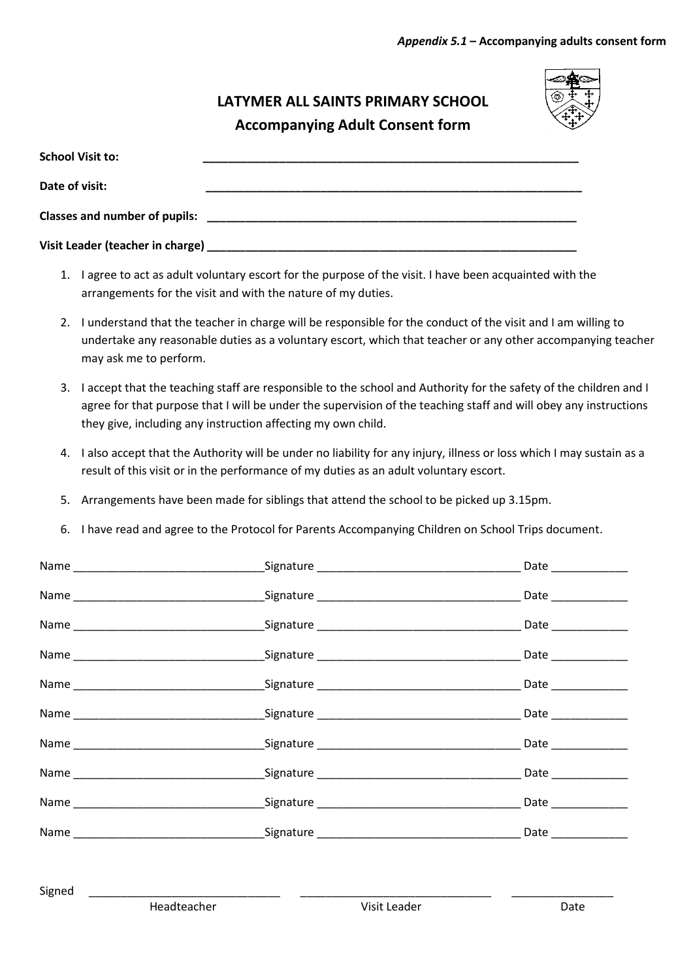## **LATYMER ALL SAINTS PRIMARY SCHOOL Accompanying Adult Consent form**



| <b>School Visit to:</b>              |                                                                                                                         |
|--------------------------------------|-------------------------------------------------------------------------------------------------------------------------|
| Date of visit:                       |                                                                                                                         |
| <b>Classes and number of pupils:</b> |                                                                                                                         |
|                                      | Visit Leader (teacher in charge) <b>Example 2014</b> and 2014 and 2014 and 2014 and 2014 and 2014 and 2014 and 2014 and |

- 1. I agree to act as adult voluntary escort for the purpose of the visit. I have been acquainted with the arrangements for the visit and with the nature of my duties.
- 2. I understand that the teacher in charge will be responsible for the conduct of the visit and I am willing to undertake any reasonable duties as a voluntary escort, which that teacher or any other accompanying teacher may ask me to perform.
- 3. I accept that the teaching staff are responsible to the school and Authority for the safety of the children and I agree for that purpose that I will be under the supervision of the teaching staff and will obey any instructions they give, including any instruction affecting my own child.
- 4. I also accept that the Authority will be under no liability for any injury, illness or loss which I may sustain as a result of this visit or in the performance of my duties as an adult voluntary escort.
- 5. Arrangements have been made for siblings that attend the school to be picked up 3.15pm.
- 6. I have read and agree to the Protocol for Parents Accompanying Children on School Trips document.

|  | Date _______________ |
|--|----------------------|
|  |                      |
|  |                      |
|  |                      |
|  |                      |
|  |                      |
|  | Date _____________   |
|  | Date ____________    |
|  |                      |
|  |                      |

Signed \_\_\_\_\_\_\_\_\_\_\_\_\_\_\_\_\_\_\_\_\_\_\_\_\_\_\_\_\_\_ \_\_\_\_\_\_\_\_\_\_\_\_\_\_\_\_\_\_\_\_\_\_\_\_\_\_\_\_\_\_ \_\_\_\_\_\_\_\_\_\_\_\_\_\_\_\_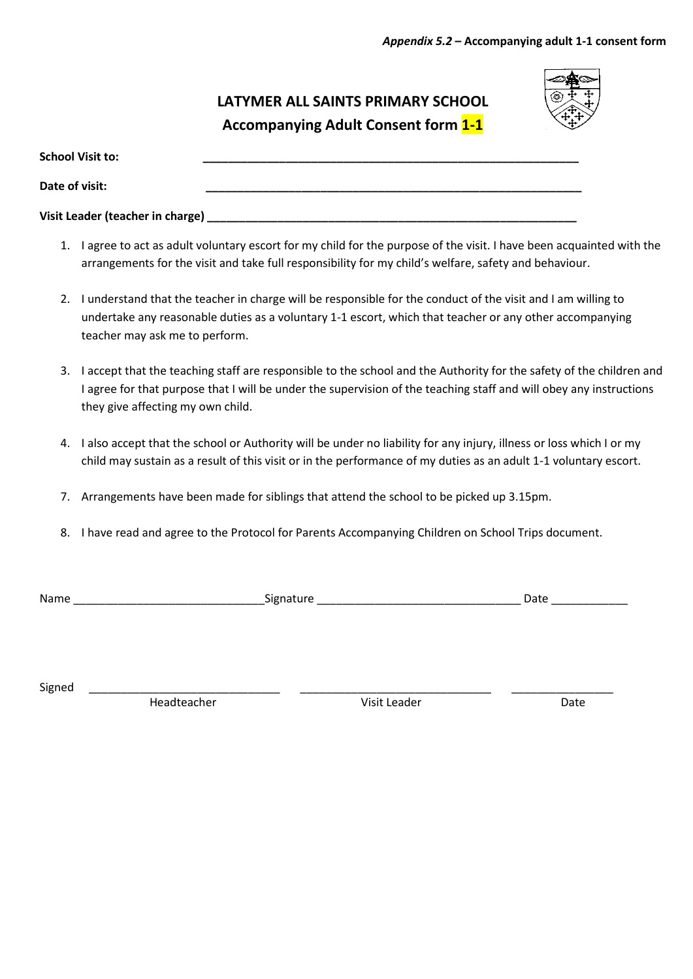## **LATYMER ALL SAINTS PRIMARY SCHOOL Accompanying Adult Consent form 1-1**



| <b>School Visit to:</b>          |  |
|----------------------------------|--|
| Date of visit:                   |  |
| Visit Leader (teacher in charge) |  |

- 1. I agree to act as adult voluntary escort for my child for the purpose of the visit. I have been acquainted with the arrangements for the visit and take full responsibility for my child's welfare, safety and behaviour.
- 2. I understand that the teacher in charge will be responsible for the conduct of the visit and I am willing to undertake any reasonable duties as a voluntary 1-1 escort, which that teacher or any other accompanying teacher may ask me to perform.
- 3. I accept that the teaching staff are responsible to the school and the Authority for the safety of the children and I agree for that purpose that I will be under the supervision of the teaching staff and will obey any instructions they give affecting my own child.
- 4. I also accept that the school or Authority will be under no liability for any injury, illness or loss which I or my child may sustain as a result of this visit or in the performance of my duties as an adult 1-1 voluntary escort.
- 7. Arrangements have been made for siblings that attend the school to be picked up 3.15pm.
- 8. I have read and agree to the Protocol for Parents Accompanying Children on School Trips document.

| Nar | .  |    |
|-----|----|----|
| .   | יי | -- |
|     | ັ  | -- |
|     |    |    |

Signed \_\_\_\_\_\_\_\_\_\_\_\_\_\_\_\_\_\_\_\_\_\_\_\_\_\_\_\_\_\_ \_\_\_\_\_\_\_\_\_\_\_\_\_\_\_\_\_\_\_\_\_\_\_\_\_\_\_\_\_\_ \_\_\_\_\_\_\_\_\_\_\_\_\_\_\_\_

Headteacher **Network** Visit Leader **Date** Date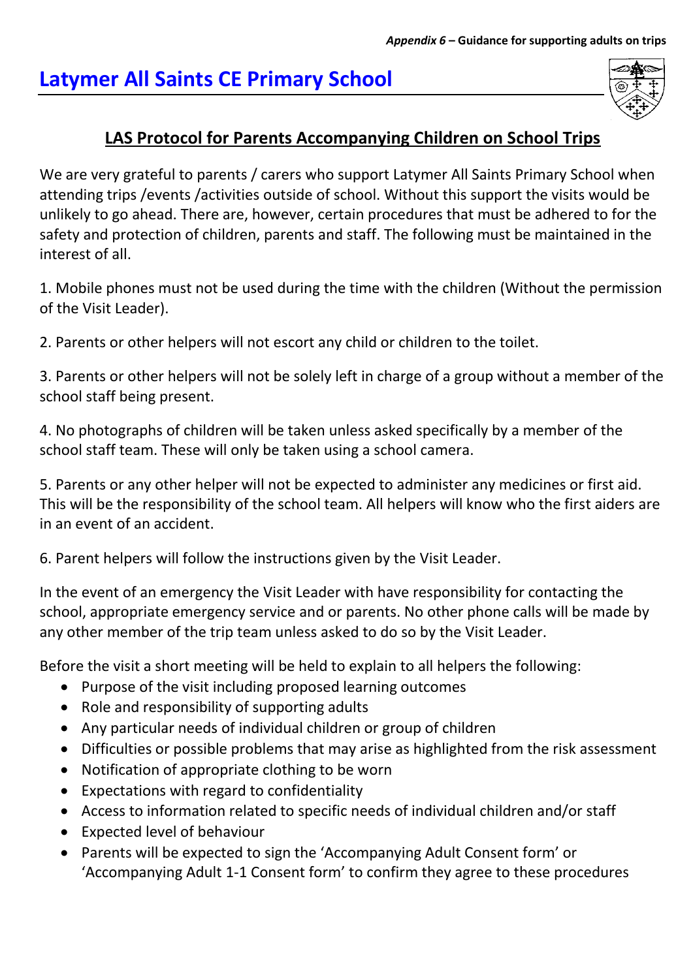# **Latymer All Saints CE Primary School**

# **LAS Protocol for Parents Accompanying Children on School Trips**

We are very grateful to parents / carers who support Latymer All Saints Primary School when attending trips /events /activities outside of school. Without this support the visits would be unlikely to go ahead. There are, however, certain procedures that must be adhered to for the safety and protection of children, parents and staff. The following must be maintained in the interest of all.

1. Mobile phones must not be used during the time with the children (Without the permission of the Visit Leader).

2. Parents or other helpers will not escort any child or children to the toilet.

3. Parents or other helpers will not be solely left in charge of a group without a member of the school staff being present.

4. No photographs of children will be taken unless asked specifically by a member of the school staff team. These will only be taken using a school camera.

5. Parents or any other helper will not be expected to administer any medicines or first aid. This will be the responsibility of the school team. All helpers will know who the first aiders are in an event of an accident.

6. Parent helpers will follow the instructions given by the Visit Leader.

In the event of an emergency the Visit Leader with have responsibility for contacting the school, appropriate emergency service and or parents. No other phone calls will be made by any other member of the trip team unless asked to do so by the Visit Leader.

Before the visit a short meeting will be held to explain to all helpers the following:

- Purpose of the visit including proposed learning outcomes
- Role and responsibility of supporting adults
- Any particular needs of individual children or group of children
- Difficulties or possible problems that may arise as highlighted from the risk assessment
- Notification of appropriate clothing to be worn
- Expectations with regard to confidentiality
- Access to information related to specific needs of individual children and/or staff
- Expected level of behaviour
- Parents will be expected to sign the 'Accompanying Adult Consent form' or 'Accompanying Adult 1-1 Consent form' to confirm they agree to these procedures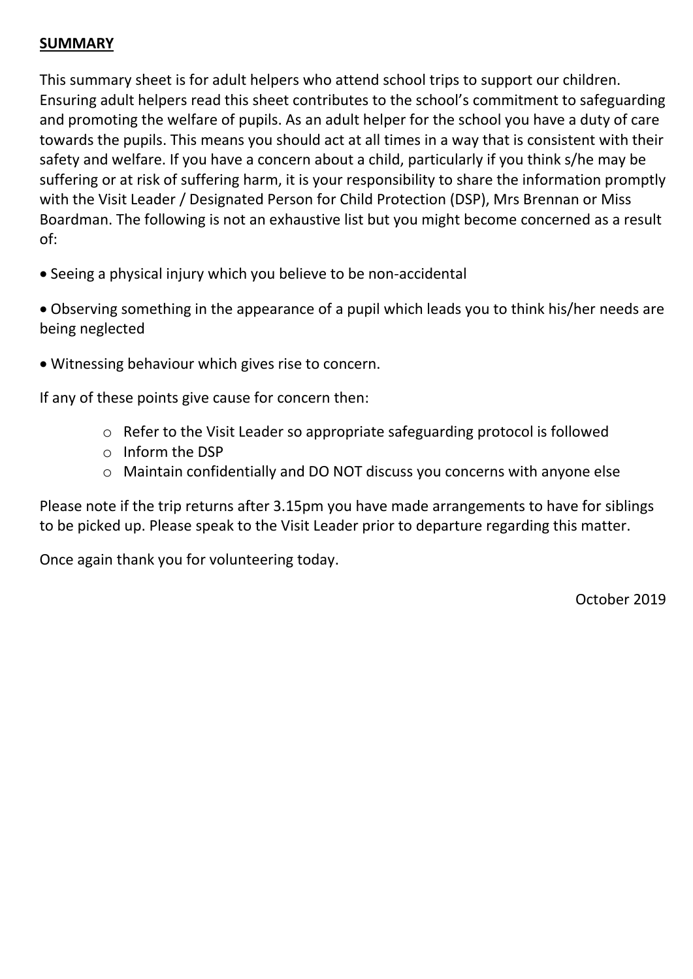### **SUMMARY**

This summary sheet is for adult helpers who attend school trips to support our children. Ensuring adult helpers read this sheet contributes to the school's commitment to safeguarding and promoting the welfare of pupils. As an adult helper for the school you have a duty of care towards the pupils. This means you should act at all times in a way that is consistent with their safety and welfare. If you have a concern about a child, particularly if you think s/he may be suffering or at risk of suffering harm, it is your responsibility to share the information promptly with the Visit Leader / Designated Person for Child Protection (DSP), Mrs Brennan or Miss Boardman. The following is not an exhaustive list but you might become concerned as a result of:

Seeing a physical injury which you believe to be non-accidental

 Observing something in the appearance of a pupil which leads you to think his/her needs are being neglected

Witnessing behaviour which gives rise to concern.

If any of these points give cause for concern then:

- o Refer to the Visit Leader so appropriate safeguarding protocol is followed
- o Inform the DSP
- o Maintain confidentially and DO NOT discuss you concerns with anyone else

Please note if the trip returns after 3.15pm you have made arrangements to have for siblings to be picked up. Please speak to the Visit Leader prior to departure regarding this matter.

Once again thank you for volunteering today.

October 2019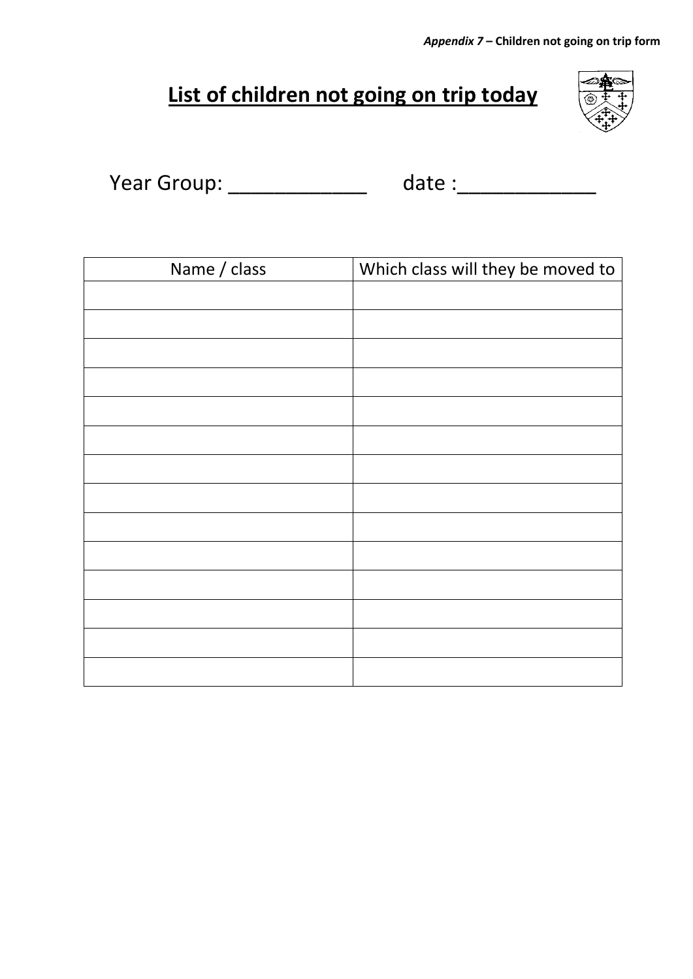*Appendix 7* **– Children not going on trip form**

# **List of children not going on trip today**



| Year Group: | date : |
|-------------|--------|
|-------------|--------|

| Name / class | Which class will they be moved to |
|--------------|-----------------------------------|
|              |                                   |
|              |                                   |
|              |                                   |
|              |                                   |
|              |                                   |
|              |                                   |
|              |                                   |
|              |                                   |
|              |                                   |
|              |                                   |
|              |                                   |
|              |                                   |
|              |                                   |
|              |                                   |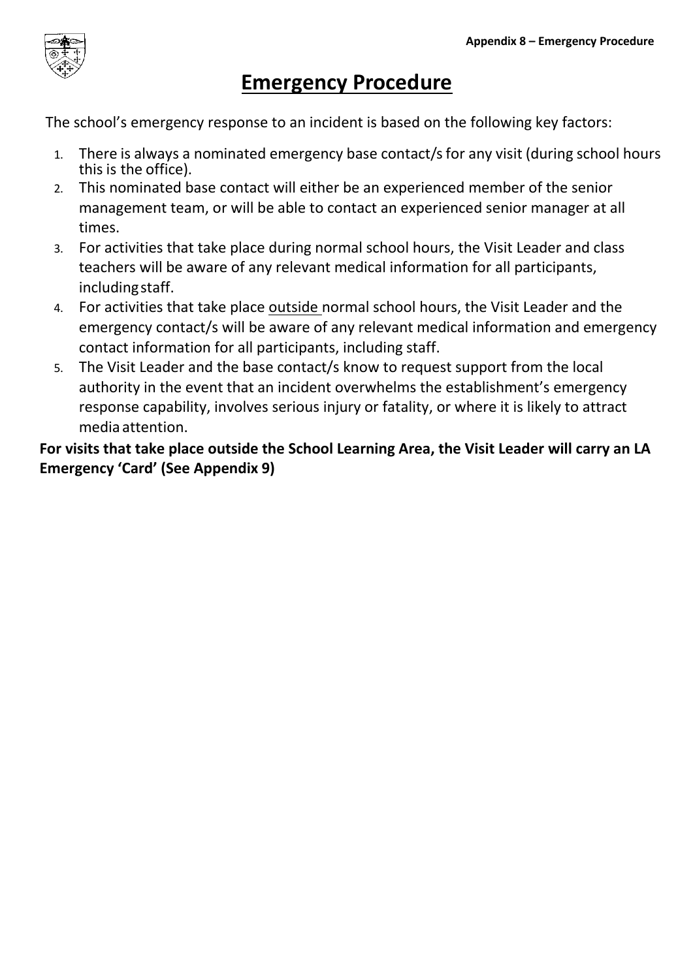

# **Emergency Procedure**

The school's emergency response to an incident is based on the following key factors:

- 1. There is always a nominated emergency base contact/s for any visit (during school hours this is the office).
- 2. This nominated base contact will either be an experienced member of the senior management team, or will be able to contact an experienced senior manager at all times.
- 3. For activities that take place during normal school hours, the Visit Leader and class teachers will be aware of any relevant medical information for all participants, includingstaff.
- 4. For activities that take place outside normal school hours, the Visit Leader and the emergency contact/s will be aware of any relevant medical information and emergency contact information for all participants, including staff.
- 5. The Visit Leader and the base contact/s know to request support from the local authority in the event that an incident overwhelms the establishment's emergency response capability, involves serious injury or fatality, or where it is likely to attract media attention.

**For visits that take place outside the School Learning Area, the Visit Leader will carry an LA Emergency 'Card' (See Appendix 9)**